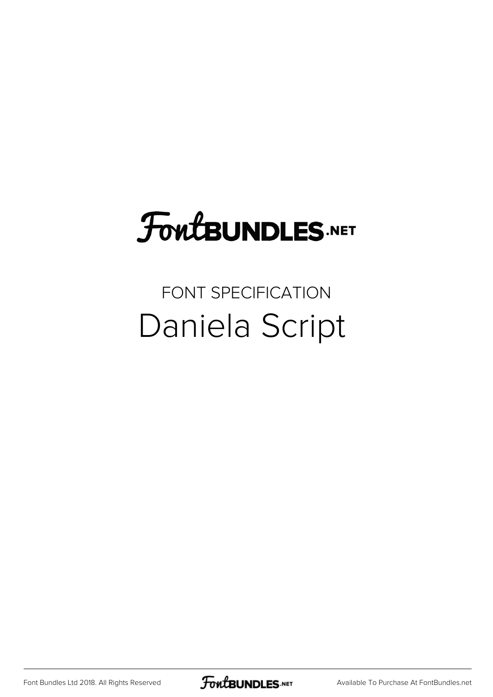# FoutBUNDLES.NET

## FONT SPECIFICATION Daniela Script

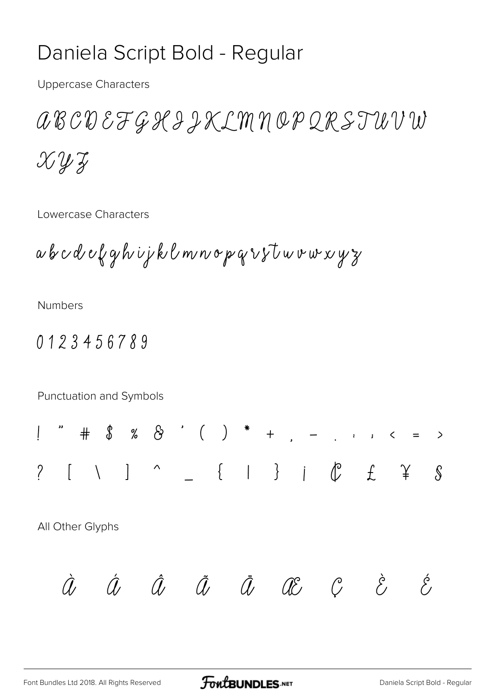### Daniela Script Bold - Regular

**Uppercase Characters** 

a B C D E F G K I J K L M N O P Q R S T U V W  $X\mathcal{Y} \mathcal{Y}$ 

Lowercase Characters

a b c d e f g h i j k l m n o p q r s t u v w x y z

**Numbers** 

#### 0123456789

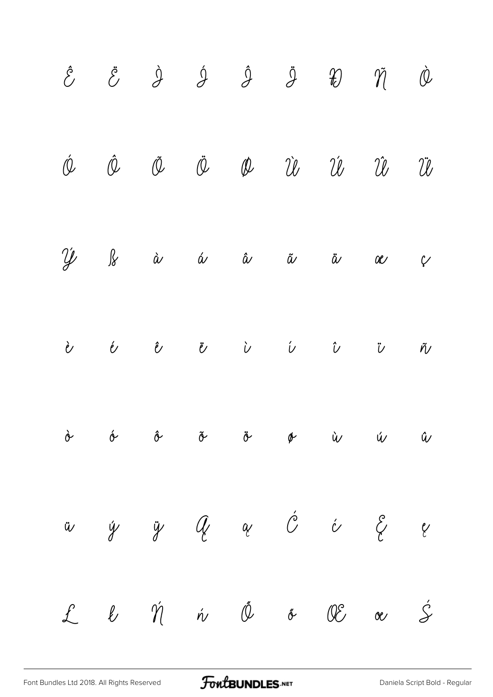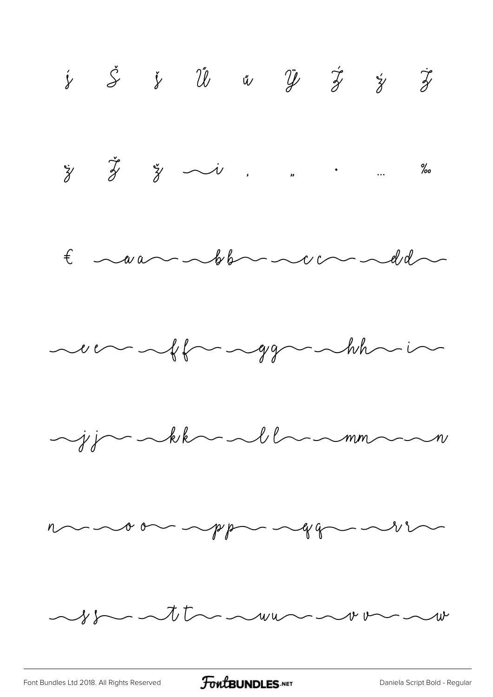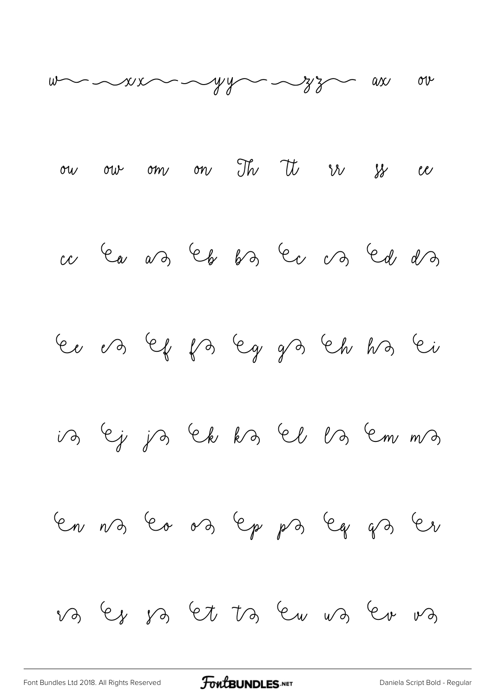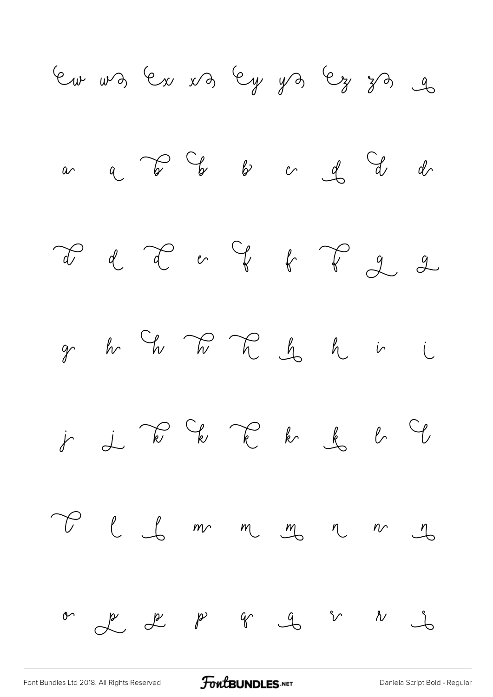

[Font Bundles Ltd 2018. All Rights Reserved](https://fontbundles.net/) **FoutBUNDLES.NET** [Daniela Script Bold - Regular](https://fontbundles.net/)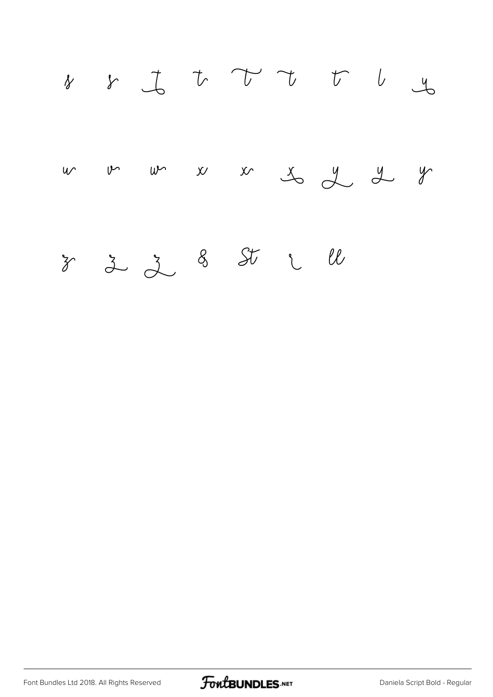

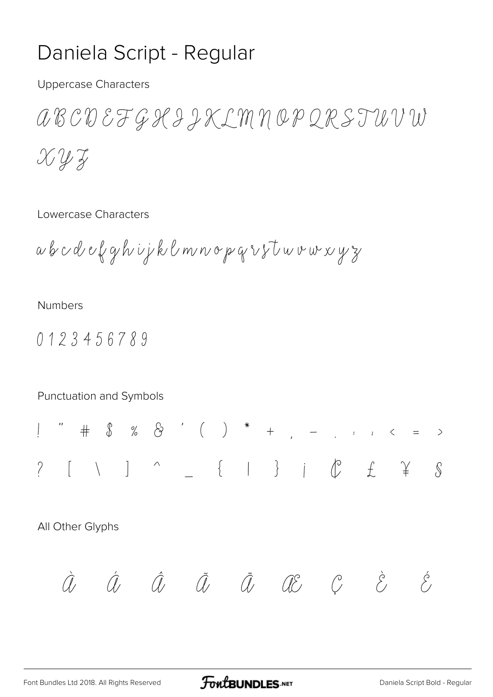### Daniela Script - Regular

**Uppercase Characters** 

aBCDEFGKIJKLMNOPQRSTUVW  $X\mathcal{Y}\mathcal{Z}$ 

Lowercase Characters

a b c d e f g h i j k l m n o p q r s t u v w x y z

**Numbers** 

0123456789

Punctuation and Symbols  $[ \quad \backslash \quad ] \quad \hat{ } \qquad \qquad _{-} \quad \{ \quad | \quad \} \quad | \quad \hat{ } \qquad \hat{ } \qquad \hat{ } \qquad \hat{ } \qquad \hat{ } \qquad \hat{ } \qquad \hat{ } \qquad \hat{ } \qquad \hat{ } \qquad \hat{ } \qquad \hat{ } \qquad \hat{ } \qquad \hat{ } \qquad \hat{ } \qquad \hat{ } \qquad \hat{ } \qquad \hat{ } \qquad \hat{ } \qquad \hat{ } \qquad \hat{ } \qquad \hat{ } \qquad \hat{ } \qquad \hat{ } \qquad \hat{ } \qquad \hat{ } \qquad \hat{ } \$  $\gamma$ All Other Glyphs  $\hat{a}$   $\hat{a}$   $\hat{a}$   $\hat{a}$   $\hat{a}$   $\hat{a}$   $\hat{a}$   $\hat{c}$   $\hat{c}$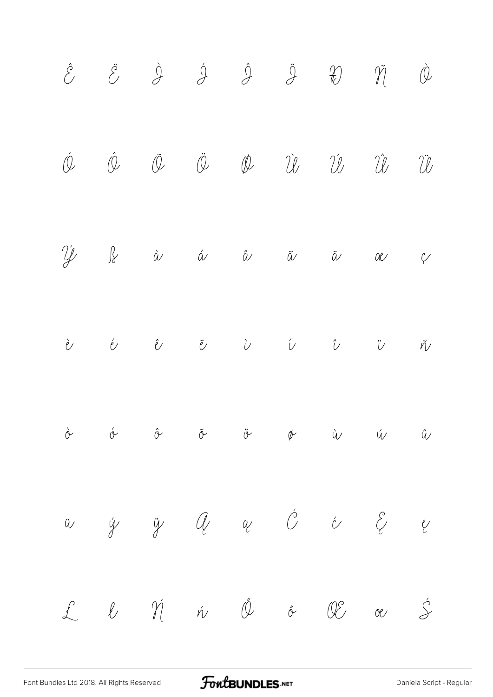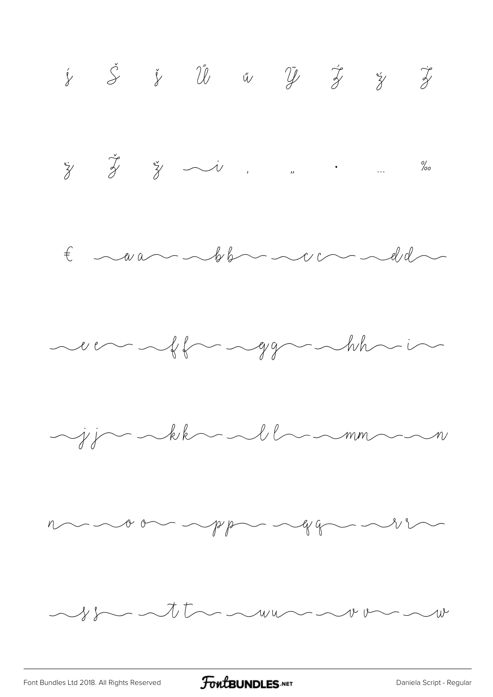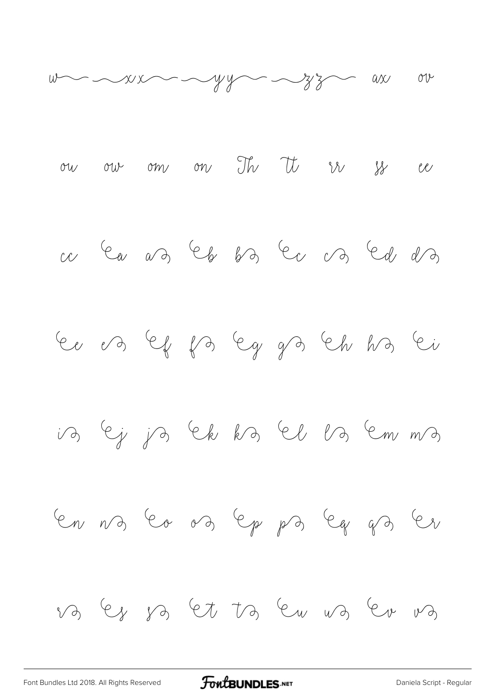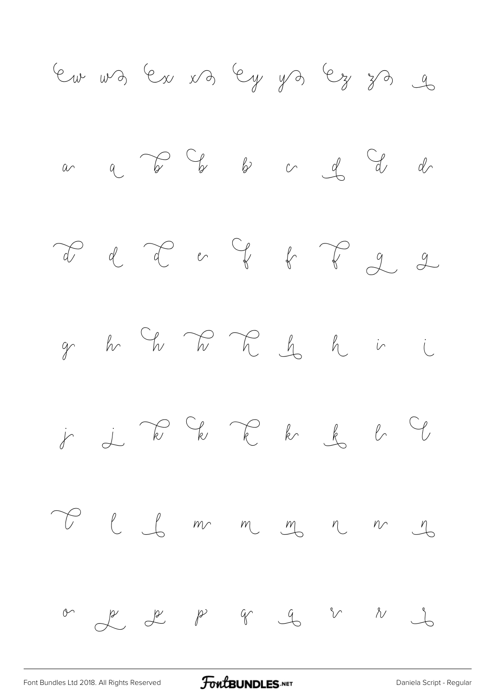